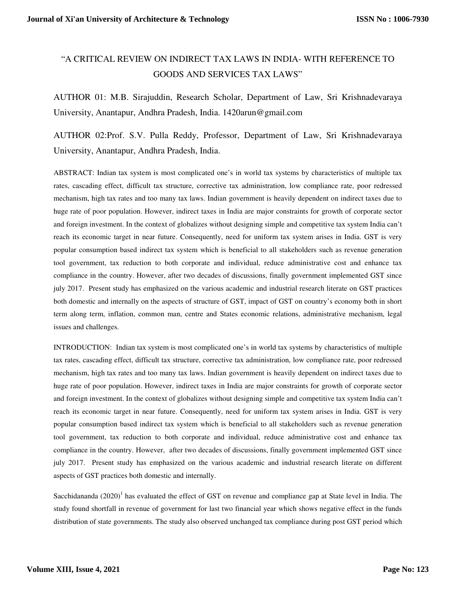## "A CRITICAL REVIEW ON INDIRECT TAX LAWS IN INDIA- WITH REFERENCE TO GOODS AND SERVICES TAX LAWS"

AUTHOR 01: M.B. Sirajuddin, Research Scholar, Department of Law, Sri Krishnadevaraya University, Anantapur, Andhra Pradesh, India. 1420arun@gmail.com

AUTHOR 02:Prof. S.V. Pulla Reddy, Professor, Department of Law, Sri Krishnadevaraya University, Anantapur, Andhra Pradesh, India.

ABSTRACT: Indian tax system is most complicated one's in world tax systems by characteristics of multiple tax rates, cascading effect, difficult tax structure, corrective tax administration, low compliance rate, poor redressed mechanism, high tax rates and too many tax laws. Indian government is heavily dependent on indirect taxes due to huge rate of poor population. However, indirect taxes in India are major constraints for growth of corporate sector and foreign investment. In the context of globalizes without designing simple and competitive tax system India can't reach its economic target in near future. Consequently, need for uniform tax system arises in India. GST is very popular consumption based indirect tax system which is beneficial to all stakeholders such as revenue generation tool government, tax reduction to both corporate and individual, reduce administrative cost and enhance tax compliance in the country. However, after two decades of discussions, finally government implemented GST since july 2017. Present study has emphasized on the various academic and industrial research literate on GST practices both domestic and internally on the aspects of structure of GST, impact of GST on country's economy both in short term along term, inflation, common man, centre and States economic relations, administrative mechanism, legal issues and challenges.

INTRODUCTION: Indian tax system is most complicated one's in world tax systems by characteristics of multiple tax rates, cascading effect, difficult tax structure, corrective tax administration, low compliance rate, poor redressed mechanism, high tax rates and too many tax laws. Indian government is heavily dependent on indirect taxes due to huge rate of poor population. However, indirect taxes in India are major constraints for growth of corporate sector and foreign investment. In the context of globalizes without designing simple and competitive tax system India can't reach its economic target in near future. Consequently, need for uniform tax system arises in India. GST is very popular consumption based indirect tax system which is beneficial to all stakeholders such as revenue generation tool government, tax reduction to both corporate and individual, reduce administrative cost and enhance tax compliance in the country. However, after two decades of discussions, finally government implemented GST since july 2017. Present study has emphasized on the various academic and industrial research literate on different aspects of GST practices both domestic and internally.

Sacchidananda  $(2020)^1$  has evaluated the effect of GST on revenue and compliance gap at State level in India. The study found shortfall in revenue of government for last two financial year which shows negative effect in the funds distribution of state governments. The study also observed unchanged tax compliance during post GST period which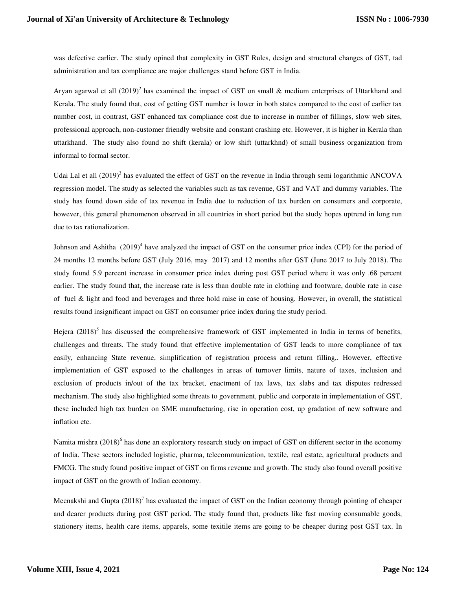was defective earlier. The study opined that complexity in GST Rules, design and structural changes of GST, tad administration and tax compliance are major challenges stand before GST in India.

Aryan agarwal et all  $(2019)^2$  has examined the impact of GST on small & medium enterprises of Uttarkhand and Kerala. The study found that, cost of getting GST number is lower in both states compared to the cost of earlier tax number cost, in contrast, GST enhanced tax compliance cost due to increase in number of fillings, slow web sites, professional approach, non-customer friendly website and constant crashing etc. However, it is higher in Kerala than uttarkhand. The study also found no shift (kerala) or low shift (uttarkhnd) of small business organization from informal to formal sector.

Udai Lal et all  $(2019)^3$  has evaluated the effect of GST on the revenue in India through semi logarithmic ANCOVA regression model. The study as selected the variables such as tax revenue, GST and VAT and dummy variables. The study has found down side of tax revenue in India due to reduction of tax burden on consumers and corporate, however, this general phenomenon observed in all countries in short period but the study hopes uptrend in long run due to tax rationalization.

Johnson and Ashitha (2019)<sup>4</sup> have analyzed the impact of GST on the consumer price index (CPI) for the period of 24 months 12 months before GST (July 2016, may 2017) and 12 months after GST (June 2017 to July 2018). The study found 5.9 percent increase in consumer price index during post GST period where it was only .68 percent earlier. The study found that, the increase rate is less than double rate in clothing and footware, double rate in case of fuel & light and food and beverages and three hold raise in case of housing. However, in overall, the statistical results found insignificant impact on GST on consumer price index during the study period.

Hejera  $(2018)^5$  has discussed the comprehensive framework of GST implemented in India in terms of benefits, challenges and threats. The study found that effective implementation of GST leads to more compliance of tax easily, enhancing State revenue, simplification of registration process and return filling,. However, effective implementation of GST exposed to the challenges in areas of turnover limits, nature of taxes, inclusion and exclusion of products in/out of the tax bracket, enactment of tax laws, tax slabs and tax disputes redressed mechanism. The study also highlighted some threats to government, public and corporate in implementation of GST, these included high tax burden on SME manufacturing, rise in operation cost, up gradation of new software and inflation etc.

Namita mishra  $(2018)^6$  has done an exploratory research study on impact of GST on different sector in the economy of India. These sectors included logistic, pharma, telecommunication, textile, real estate, agricultural products and FMCG. The study found positive impact of GST on firms revenue and growth. The study also found overall positive impact of GST on the growth of Indian economy.

Meenakshi and Gupta  $(2018)^7$  has evaluated the impact of GST on the Indian economy through pointing of cheaper and dearer products during post GST period. The study found that, products like fast moving consumable goods, stationery items, health care items, apparels, some texitile items are going to be cheaper during post GST tax. In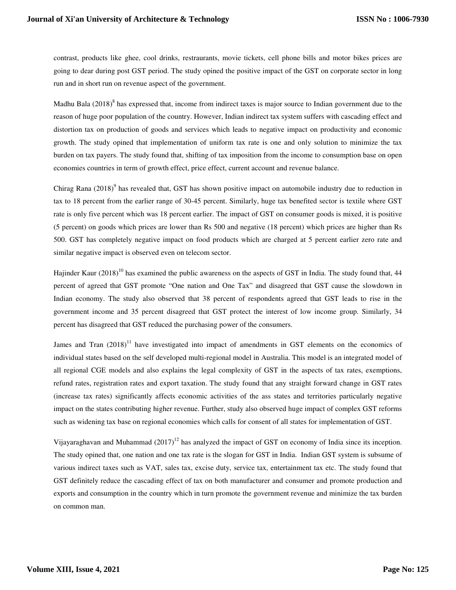contrast, products like ghee, cool drinks, restraurants, movie tickets, cell phone bills and motor bikes prices are going to dear during post GST period. The study opined the positive impact of the GST on corporate sector in long run and in short run on revenue aspect of the government.

Madhu Bala  $(2018)^8$  has expressed that, income from indirect taxes is major source to Indian government due to the reason of huge poor population of the country. However, Indian indirect tax system suffers with cascading effect and distortion tax on production of goods and services which leads to negative impact on productivity and economic growth. The study opined that implementation of uniform tax rate is one and only solution to minimize the tax burden on tax payers. The study found that, shifting of tax imposition from the income to consumption base on open economies countries in term of growth effect, price effect, current account and revenue balance.

Chirag Rana (2018)<sup>9</sup> has revealed that, GST has shown positive impact on automobile industry due to reduction in tax to 18 percent from the earlier range of 30-45 percent. Similarly, huge tax benefited sector is textile where GST rate is only five percent which was 18 percent earlier. The impact of GST on consumer goods is mixed, it is positive (5 percent) on goods which prices are lower than Rs 500 and negative (18 percent) which prices are higher than Rs 500. GST has completely negative impact on food products which are charged at 5 percent earlier zero rate and similar negative impact is observed even on telecom sector.

Hajinder Kaur  $(2018)^{10}$  has examined the public awareness on the aspects of GST in India. The study found that, 44 percent of agreed that GST promote "One nation and One Tax" and disagreed that GST cause the slowdown in Indian economy. The study also observed that 38 percent of respondents agreed that GST leads to rise in the government income and 35 percent disagreed that GST protect the interest of low income group. Similarly, 34 percent has disagreed that GST reduced the purchasing power of the consumers.

James and Tran  $(2018)^{11}$  have investigated into impact of amendments in GST elements on the economics of individual states based on the self developed multi-regional model in Australia. This model is an integrated model of all regional CGE models and also explains the legal complexity of GST in the aspects of tax rates, exemptions, refund rates, registration rates and export taxation. The study found that any straight forward change in GST rates (increase tax rates) significantly affects economic activities of the ass states and territories particularly negative impact on the states contributing higher revenue. Further, study also observed huge impact of complex GST reforms such as widening tax base on regional economies which calls for consent of all states for implementation of GST.

Vijayaraghavan and Muhammad  $(2017)^{12}$  has analyzed the impact of GST on economy of India since its inception. The study opined that, one nation and one tax rate is the slogan for GST in India. Indian GST system is subsume of various indirect taxes such as VAT, sales tax, excise duty, service tax, entertainment tax etc. The study found that GST definitely reduce the cascading effect of tax on both manufacturer and consumer and promote production and exports and consumption in the country which in turn promote the government revenue and minimize the tax burden on common man.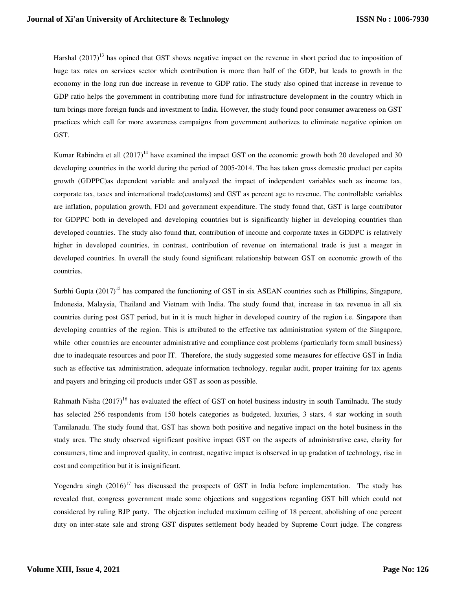Harshal  $(2017)^{13}$  has opined that GST shows negative impact on the revenue in short period due to imposition of huge tax rates on services sector which contribution is more than half of the GDP, but leads to growth in the economy in the long run due increase in revenue to GDP ratio. The study also opined that increase in revenue to GDP ratio helps the government in contributing more fund for infrastructure development in the country which in turn brings more foreign funds and investment to India. However, the study found poor consumer awareness on GST practices which call for more awareness campaigns from government authorizes to eliminate negative opinion on GST.

Kumar Rabindra et all  $(2017)^{14}$  have examined the impact GST on the economic growth both 20 developed and 30 developing countries in the world during the period of 2005-2014. The has taken gross domestic product per capita growth (GDPPC)as dependent variable and analyzed the impact of independent variables such as income tax, corporate tax, taxes and international trade(customs) and GST as percent age to revenue. The controllable variables are inflation, population growth, FDI and government expenditure. The study found that, GST is large contributor for GDPPC both in developed and developing countries but is significantly higher in developing countries than developed countries. The study also found that, contribution of income and corporate taxes in GDDPC is relatively higher in developed countries, in contrast, contribution of revenue on international trade is just a meager in developed countries. In overall the study found significant relationship between GST on economic growth of the countries.

Surbhi Gupta (2017)<sup>15</sup> has compared the functioning of GST in six ASEAN countries such as Phillipins, Singapore, Indonesia, Malaysia, Thailand and Vietnam with India. The study found that, increase in tax revenue in all six countries during post GST period, but in it is much higher in developed country of the region i.e. Singapore than developing countries of the region. This is attributed to the effective tax administration system of the Singapore, while other countries are encounter administrative and compliance cost problems (particularly form small business) due to inadequate resources and poor IT. Therefore, the study suggested some measures for effective GST in India such as effective tax administration, adequate information technology, regular audit, proper training for tax agents and payers and bringing oil products under GST as soon as possible.

Rahmath Nisha (2017)<sup>16</sup> has evaluated the effect of GST on hotel business industry in south Tamilnadu. The study has selected 256 respondents from 150 hotels categories as budgeted, luxuries, 3 stars, 4 star working in south Tamilanadu. The study found that, GST has shown both positive and negative impact on the hotel business in the study area. The study observed significant positive impact GST on the aspects of administrative ease, clarity for consumers, time and improved quality, in contrast, negative impact is observed in up gradation of technology, rise in cost and competition but it is insignificant.

Yogendra singh  $(2016)^{17}$  has discussed the prospects of GST in India before implementation. The study has revealed that, congress government made some objections and suggestions regarding GST bill which could not considered by ruling BJP party. The objection included maximum ceiling of 18 percent, abolishing of one percent duty on inter-state sale and strong GST disputes settlement body headed by Supreme Court judge. The congress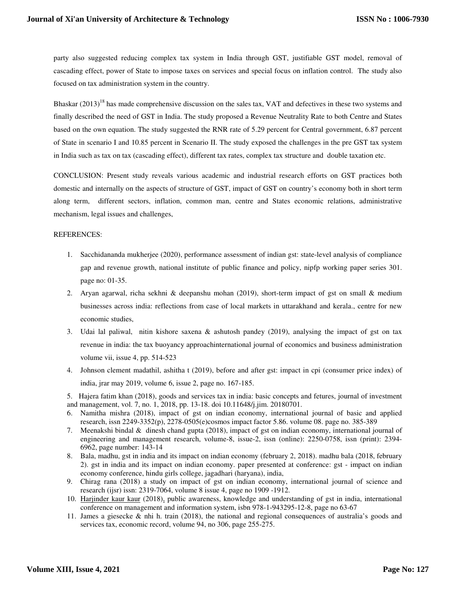party also suggested reducing complex tax system in India through GST, justifiable GST model, removal of cascading effect, power of State to impose taxes on services and special focus on inflation control. The study also focused on tax administration system in the country.

Bhaskar  $(2013)^{18}$  has made comprehensive discussion on the sales tax, VAT and defectives in these two systems and finally described the need of GST in India. The study proposed a Revenue Neutrality Rate to both Centre and States based on the own equation. The study suggested the RNR rate of 5.29 percent for Central government, 6.87 percent of State in scenario I and 10.85 percent in Scenario II. The study exposed the challenges in the pre GST tax system in India such as tax on tax (cascading effect), different tax rates, complex tax structure and double taxation etc.

CONCLUSION: Present study reveals various academic and industrial research efforts on GST practices both domestic and internally on the aspects of structure of GST, impact of GST on country's economy both in short term along term, different sectors, inflation, common man, centre and States economic relations, administrative mechanism, legal issues and challenges,

## REFERENCES:

- 1. Sacchidananda mukherjee (2020), performance assessment of indian gst: state-level analysis of compliance gap and revenue growth, national institute of public finance and policy, nipfp working paper series 301. page no: 01-35.
- 2. Aryan agarwal, richa sekhni & deepanshu mohan (2019), short-term impact of gst on small & medium businesses across india: reflections from case of local markets in uttarakhand and kerala., centre for new economic studies,
- 3. Udai lal paliwal, nitin kishore saxena & ashutosh pandey (2019), analysing the impact of gst on tax revenue in india: the tax buoyancy approachinternational journal of economics and business administration volume vii, issue 4, pp. 514-523
- 4. Johnson clement madathil, ashitha t (2019), before and after gst: impact in cpi (consumer price index) of india, jrar may 2019, volume 6, issue 2, page no. 167-185.
- 5. Hajera fatim khan (2018), goods and services tax in india: basic concepts and fetures, journal of investment and management, vol. 7, no. 1, 2018, pp. 13-18. doi 10.11648/j.jim. 20180701.
- 6. Namitha mishra (2018), impact of gst on indian economy, international journal of basic and applied research, issn 2249-3352(p), 2278-0505(e)cosmos impact factor 5.86. volume 08. page no. 385-389
- 7. Meenakshi bindal & dinesh chand gupta (2018), impact of gst on indian economy, international journal of engineering and management research, volume-8, issue-2, issn (online): 2250-0758, issn (print): 2394- 6962, page number: 143-14
- 8. Bala, madhu, gst in india and its impact on indian economy (february 2, 2018). madhu bala (2018, february 2). gst in india and its impact on indian economy. paper presented at conference: gst - impact on indian economy conference, hindu girls college, jagadhari (haryana), india,
- 9. Chirag rana (2018) a study on impact of gst on indian economy, international journal of science and research (ijsr) issn: 2319-7064, volume 8 issue 4, page no 1909 -1912.
- 10. Harjinder kaur kaur (2018), public awareness, knowledge and understanding of gst in india, international conference on management and information system, isbn 978-1-943295-12-8, page no 63-67
- 11. James a giesecke & nhi h. train (2018), the national and regional consequences of australia's goods and services tax, economic record, volume 94, no 306, page 255-275.